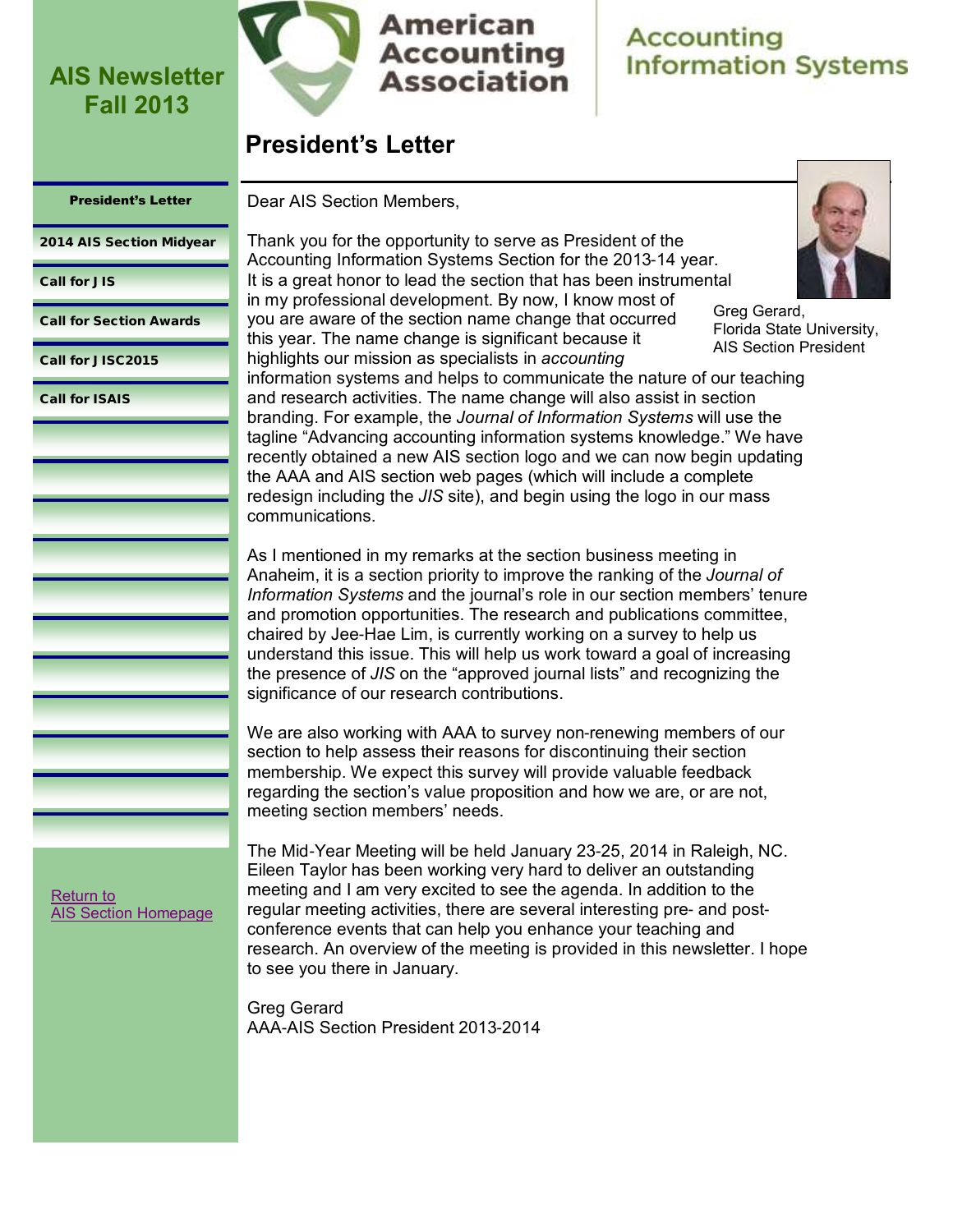

## **American Accounting Association**

## **Accounting Information Systems**

## **President's Letter**

### <span id="page-0-0"></span>President's Letter

Dear AIS Section Members,

[2014 AIS Section Midyear](#page-1-0)

### [Call for JIS](#page-4-0)

[Call for Section Awards](#page-5-0)

[Call for JISC2015](#page-7-0)

[Call for ISAIS](#page-9-0)

Thank you for the opportunity to serve as President of the Accounting Information Systems Section for the 2013-14 year. It is a great honor to lead the section that has been instrumental in my professional development. By now, I know most of you are aware of the section name change that occurred this year. The name change is significant because it highlights our mission as specialists in *accounting*



Greg Gerard, Florida State University, AIS Section President

information systems and helps to communicate the nature of our teaching and research activities. The name change will also assist in section branding. For example, the *Journal of Information Systems* will use the tagline "Advancing accounting information systems knowledge." We have recently obtained a new AIS section logo and we can now begin updating the AAA and AIS section web pages (which will include a complete redesign including the *JIS* site), and begin using the logo in our mass communications.

As I mentioned in my remarks at the section business meeting in Anaheim, it is a section priority to improve the ranking of the *Journal of Information Systems* and the journal's role in our section members' tenure and promotion opportunities. The research and publications committee, chaired by Jee-Hae Lim, is currently working on a survey to help us understand this issue. This will help us work toward a goal of increasing the presence of *JIS* on the "approved journal lists" and recognizing the significance of our research contributions.

We are also working with AAA to survey non-renewing members of our section to help assess their reasons for discontinuing their section membership. We expect this survey will provide valuable feedback regarding the section's value proposition and how we are, or are not, meeting section members' needs.

The Mid-Year Meeting will be held January 23-25, 2014 in Raleigh, NC. Eileen Taylor has been working very hard to deliver an outstanding meeting and I am very excited to see the agenda. In addition to the regular meeting activities, there are several interesting pre- and postconference events that can help you enhance your teaching and research. An overview of the meeting is provided in this newsletter. I hope to see you there in January.

Greg Gerard AAA-AIS Section President 2013-2014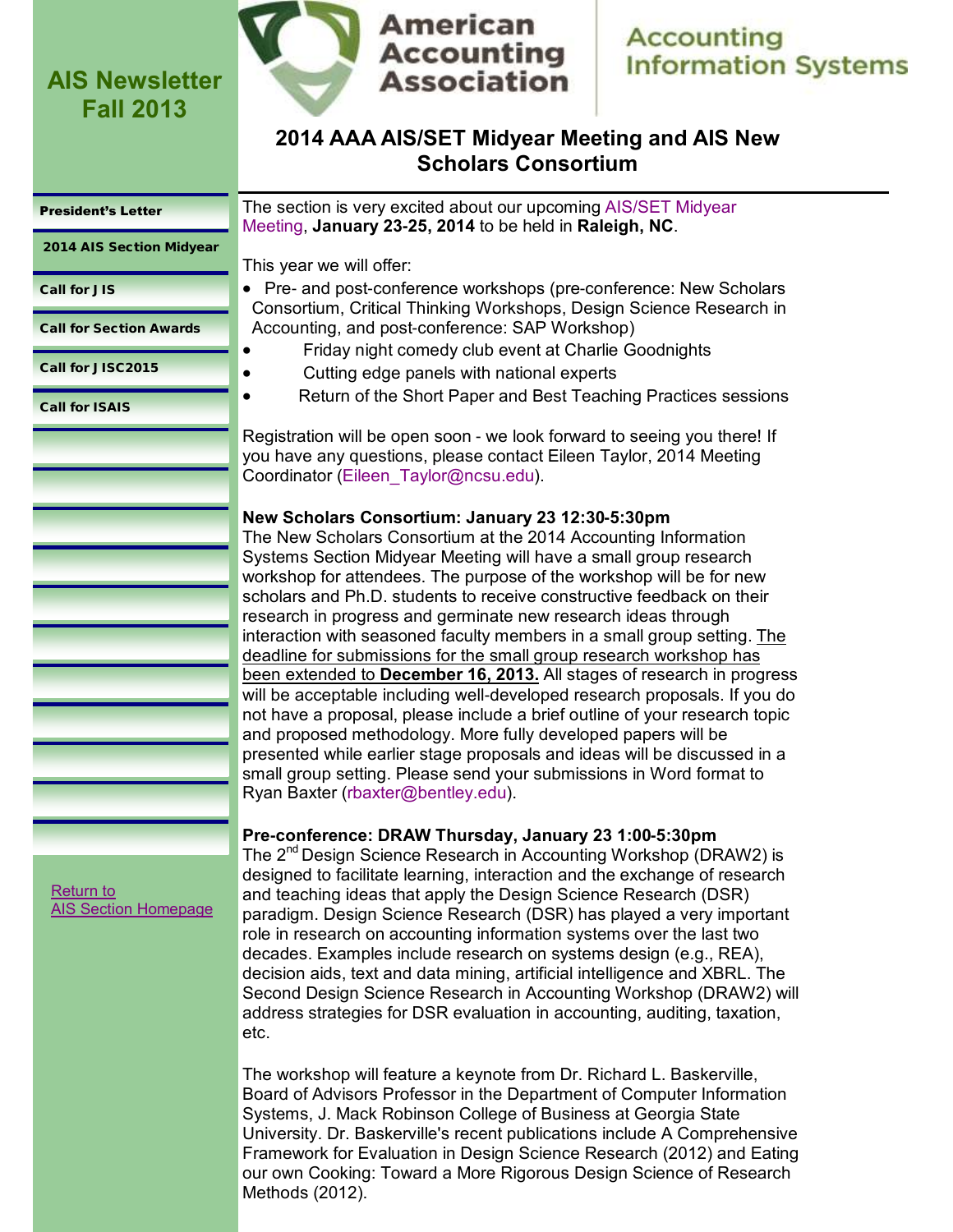

## **Accounting Information Systems**

## **2014 AAA AIS/SET Midyear Meeting and AIS New Scholars Consortium**

#### <span id="page-1-0"></span>[President's Letter](#page-0-0)

2014 AIS Section Midyear

[Call for JIS](#page-4-0)

[Call for Section Awards](#page-5-0)

[Call for JISC2015](#page-7-0)

[Call for ISAIS](#page-9-0)

The section is very excited about our upcoming [AIS/SET Midyear](http://aaahq.org/infosys/meetings/2014/online.cfm)  [Meeting,](http://aaahq.org/infosys/meetings/2014/online.cfm) **January 23-25, 2014** to be held in **Raleigh, NC**.

This year we will offer:

- Pre- and post-conference workshops (pre-conference: New Scholars Consortium, Critical Thinking Workshops, Design Science Research in Accounting, and post-conference: SAP Workshop)
	- Friday night comedy club event at Charlie Goodnights
- Cutting edge panels with national experts
	- Return of the Short Paper and Best Teaching Practices sessions

Registration will be open soon - we look forward to seeing you there! If you have any questions, please contact Eileen Taylor, 2014 Meeting Coordinator [\(Eileen\\_Taylor@ncsu.edu\).](mailto:Eileen_Taylor@ncsu.edu)

## **New Scholars Consortium: January 23 12:30-5:30pm**

The New Scholars Consortium at the 2014 Accounting Information Systems Section Midyear Meeting will have a small group research workshop for attendees. The purpose of the workshop will be for new scholars and Ph.D. students to receive constructive feedback on their research in progress and germinate new research ideas through interaction with seasoned faculty members in a small group setting. The deadline for submissions for the small group research workshop has been extended to **December 16, 2013.** All stages of research in progress will be acceptable including well-developed research proposals. If you do not have a proposal, please include a brief outline of your research topic and proposed methodology. More fully developed papers will be presented while earlier stage proposals and ideas will be discussed in a small group setting. Please send your submissions in Word format to Ryan Baxter [\(rbaxter@bentley.edu\)](mailto:rbaxter@bentley.edu).

### **Pre-conference: DRAW Thursday, January 23 1:00-5:30pm**

The 2<sup>nd</sup> Design Science Research in Accounting Workshop (DRAW2) is designed to facilitate learning, interaction and the exchange of research and teaching ideas that apply the Design Science Research (DSR) paradigm. Design Science Research (DSR) has played a very important role in research on accounting information systems over the last two decades. Examples include research on systems design (e.g., REA), decision aids, text and data mining, artificial intelligence and XBRL. The Second Design Science Research in Accounting Workshop (DRAW2) will address strategies for DSR evaluation in accounting, auditing, taxation, etc.

The workshop will feature a keynote from Dr. Richard L. Baskerville, Board of Advisors Professor in the Department of Computer Information Systems, J. Mack Robinson College of Business at Georgia State University. Dr. Baskerville's recent publications include A Comprehensive Framework for Evaluation in Design Science Research (2012) and Eating our own Cooking: Toward a More Rigorous Design Science of Research Methods (2012).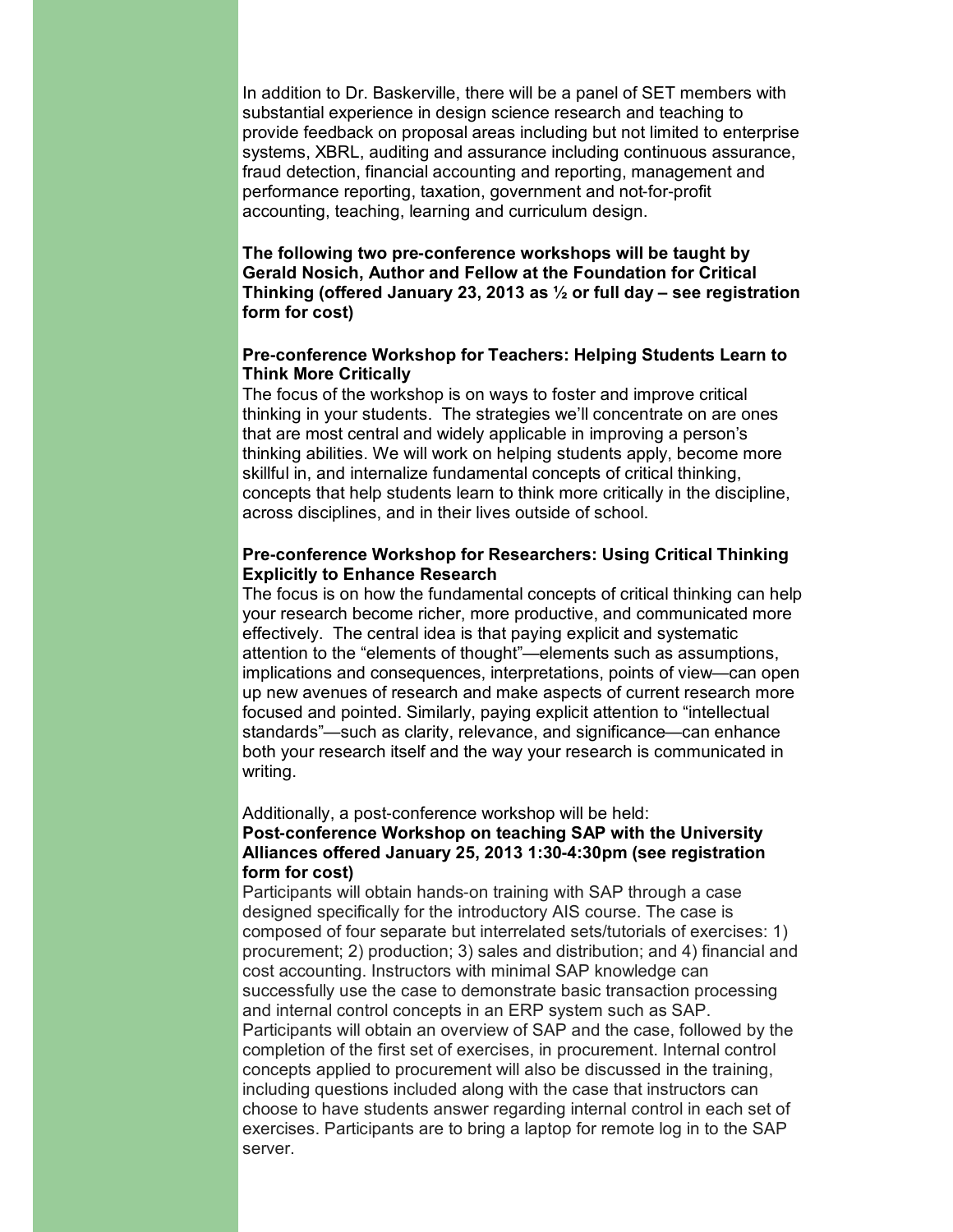In addition to Dr. Baskerville, there will be a panel of SET members with substantial experience in design science research and teaching to provide feedback on proposal areas including but not limited to enterprise systems, XBRL, auditing and assurance including continuous assurance, fraud detection, financial accounting and reporting, management and performance reporting, taxation, government and not-for-profit accounting, teaching, learning and curriculum design.

**The following two pre-conference workshops will be taught by Gerald Nosich, Author and Fellow at the Foundation for Critical Thinking (offered January 23, 2013 as ½ or full day – see registration form for cost)**

### **Pre-conference Workshop for Teachers: Helping Students Learn to Think More Critically**

The focus of the workshop is on ways to foster and improve critical thinking in your students. The strategies we'll concentrate on are ones that are most central and widely applicable in improving a person's thinking abilities. We will work on helping students apply, become more skillful in, and internalize fundamental concepts of critical thinking, concepts that help students learn to think more critically in the discipline, across disciplines, and in their lives outside of school.

### **Pre-conference Workshop for Researchers: Using Critical Thinking Explicitly to Enhance Research**

The focus is on how the fundamental concepts of critical thinking can help your research become richer, more productive, and communicated more effectively. The central idea is that paying explicit and systematic attention to the "elements of thought"—elements such as assumptions, implications and consequences, interpretations, points of view—can open up new avenues of research and make aspects of current research more focused and pointed. Similarly, paying explicit attention to "intellectual standards"—such as clarity, relevance, and significance—can enhance both your research itself and the way your research is communicated in writing.

Additionally, a post-conference workshop will be held:

### **Post-conference Workshop on teaching SAP with the University Alliances offered January 25, 2013 1:30-4:30pm (see registration form for cost)**

Participants will obtain hands-on training with SAP through a case designed specifically for the introductory AIS course. The case is composed of four separate but interrelated sets/tutorials of exercises: 1) procurement; 2) production; 3) sales and distribution; and 4) financial and cost accounting. Instructors with minimal SAP knowledge can successfully use the case to demonstrate basic transaction processing and internal control concepts in an ERP system such as SAP. Participants will obtain an overview of SAP and the case, followed by the completion of the first set of exercises, in procurement. Internal control concepts applied to procurement will also be discussed in the training, including questions included along with the case that instructors can choose to have students answer regarding internal control in each set of exercises. Participants are to bring a laptop for remote log in to the SAP server.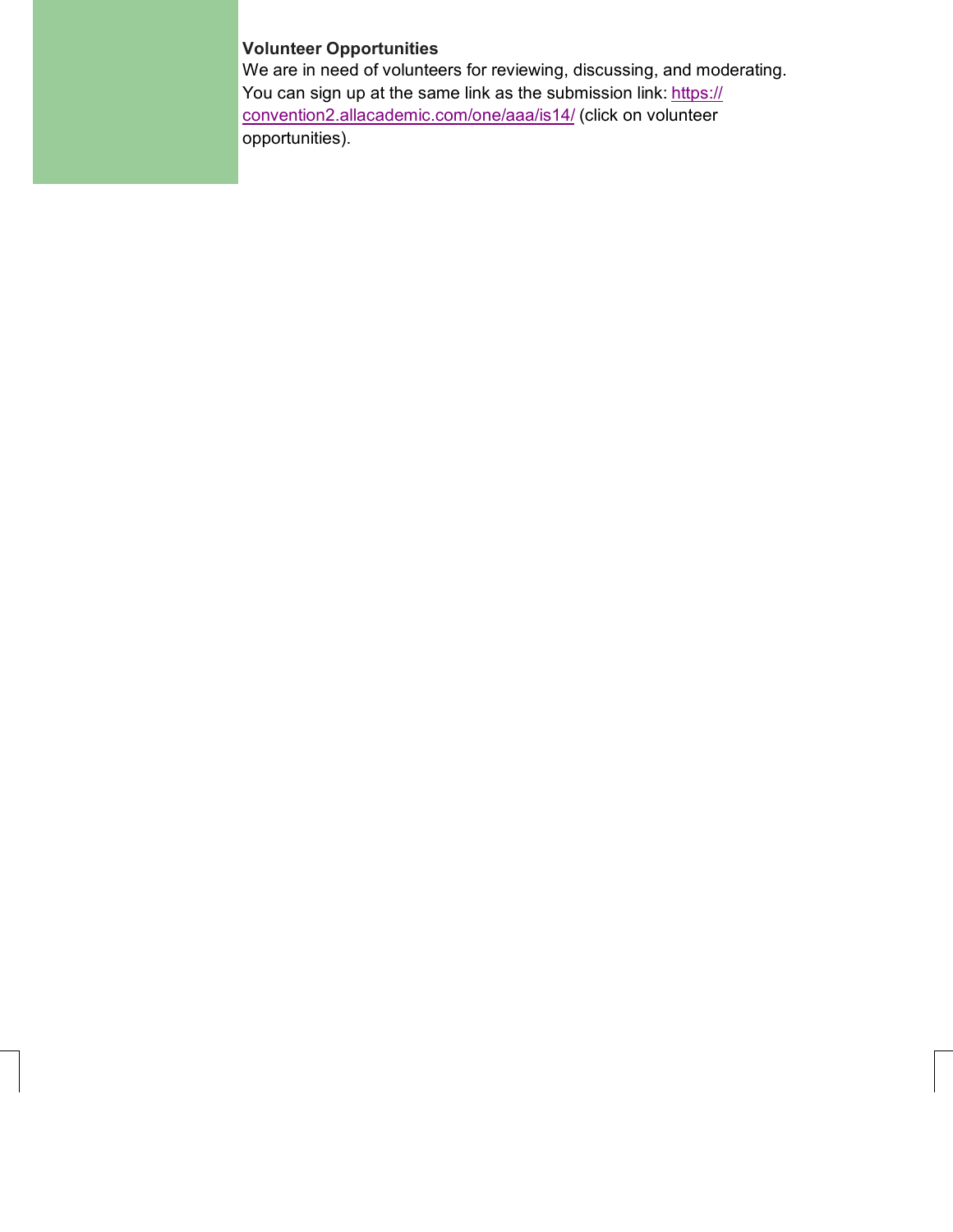## **Volunteer Opportunities**

We are in need of volunteers for reviewing, discussing, and moderating. You can sign up at the same link as the submission link: [https://](https://convention2.allacademic.com/one/aaa/is14/) [convention2.allacademic.com/one/aaa/is14/](https://convention2.allacademic.com/one/aaa/is14/) (click on volunteer opportunities).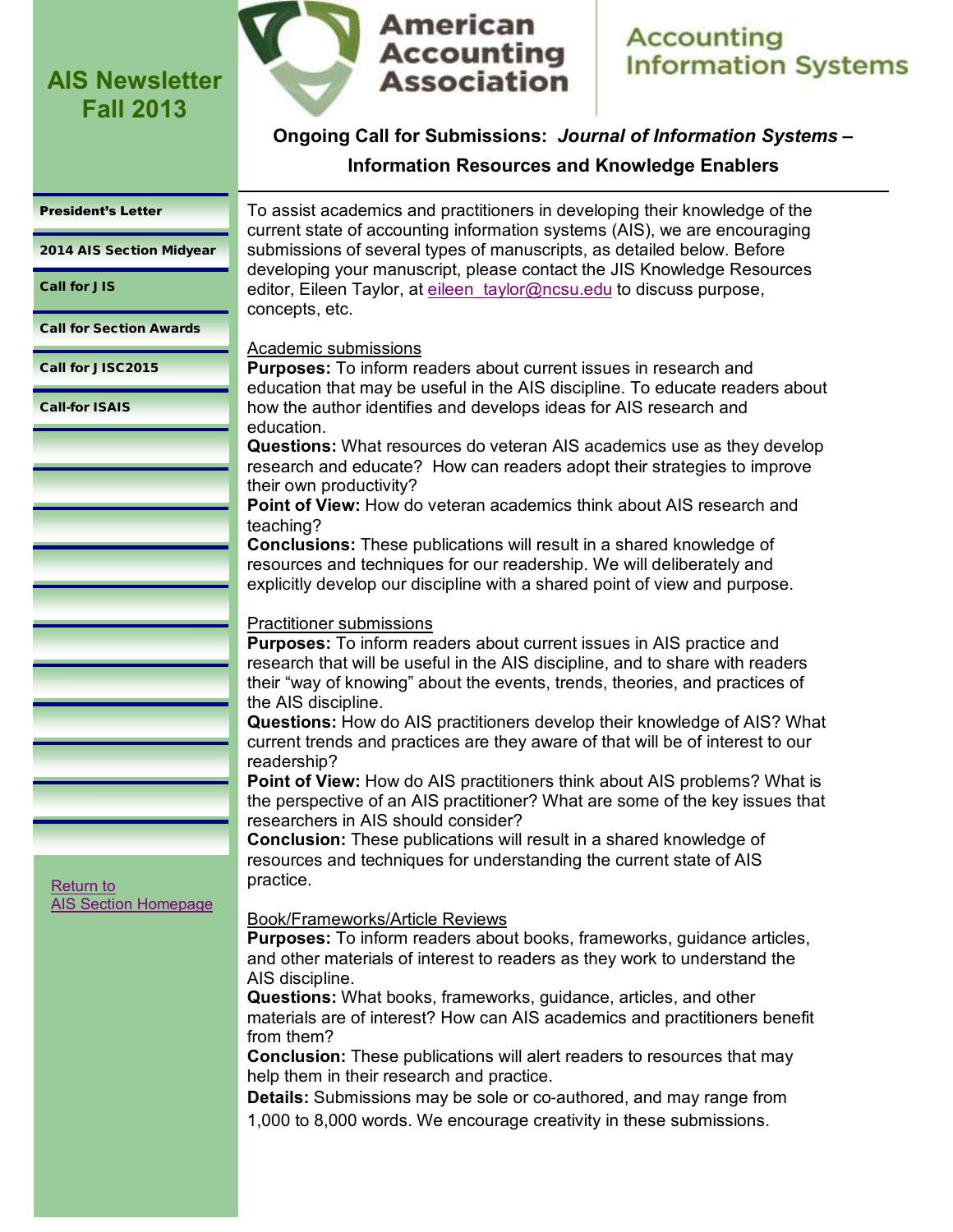

## **Accounting Information Systems**

## **Ongoing Call for Submissions:** *Journal of Information Systems* **–**

## **Information Resources and Knowledge Enablers**

### <span id="page-4-0"></span>[President's Letter](#page-0-0)

[2014 AIS Section Midyear](#page-1-0)

Call for JIS

[Call for Section Awards](#page-5-0)

[Call for JISC2015](#page-7-0)

[Call-for ISAIS](#page-9-0)

To assist academics and practitioners in developing their knowledge of the current state of accounting information systems (AIS), we are encouraging submissions of several types of manuscripts, as detailed below. Before developing your manuscript, please contact the JIS Knowledge Resources editor, Eileen Taylor, at eileen taylor@ncsu.edu to discuss purpose, concepts, etc.

### Academic submissions

**Purposes:** To inform readers about current issues in research and education that may be useful in the AIS discipline. To educate readers about how the author identifies and develops ideas for AIS research and education.

**Questions:** What resources do veteran AIS academics use as they develop research and educate? How can readers adopt their strategies to improve their own productivity?

**Point of View:** How do veteran academics think about AIS research and teaching?

**Conclusions:** These publications will result in a shared knowledge of resources and techniques for our readership. We will deliberately and explicitly develop our discipline with a shared point of view and purpose.

## Practitioner submissions

**Purposes:** To inform readers about current issues in AIS practice and research that will be useful in the AIS discipline, and to share with readers their "way of knowing" about the events, trends, theories, and practices of the AIS discipline.

**Questions:** How do AIS practitioners develop their knowledge of AIS? What current trends and practices are they aware of that will be of interest to our readership?

**Point of View:** How do AIS practitioners think about AIS problems? What is the perspective of an AIS practitioner? What are some of the key issues that researchers in AIS should consider?

**Conclusion:** These publications will result in a shared knowledge of resources and techniques for understanding the current state of AIS practice.

[Return to](http://aaahq.org/infosys/index.html)  [AIS Section Homepage](http://aaahq.org/infosys/index.html)

### Book/Frameworks/Article Reviews

**Purposes:** To inform readers about books, frameworks, guidance articles, and other materials of interest to readers as they work to understand the AIS discipline.

**Questions:** What books, frameworks, guidance, articles, and other materials are of interest? How can AIS academics and practitioners benefit from them?

**Conclusion:** These publications will alert readers to resources that may help them in their research and practice.

**Details:** Submissions may be sole or co-authored, and may range from 1,000 to 8,000 words. We encourage creativity in these submissions.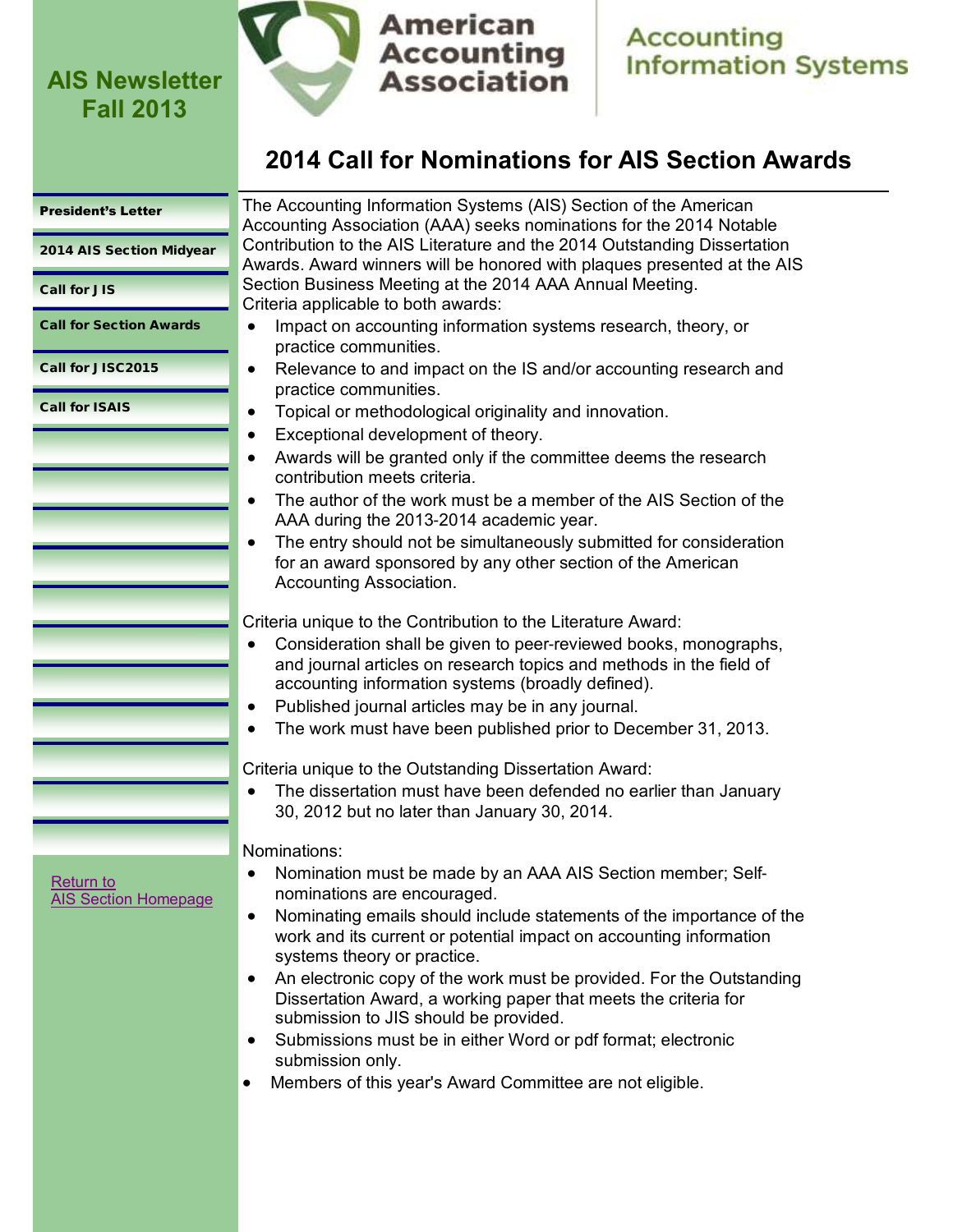

**Accounting<br>Information Systems** 

## **2014 Call for Nominations for AIS Section Awards**

<span id="page-5-0"></span>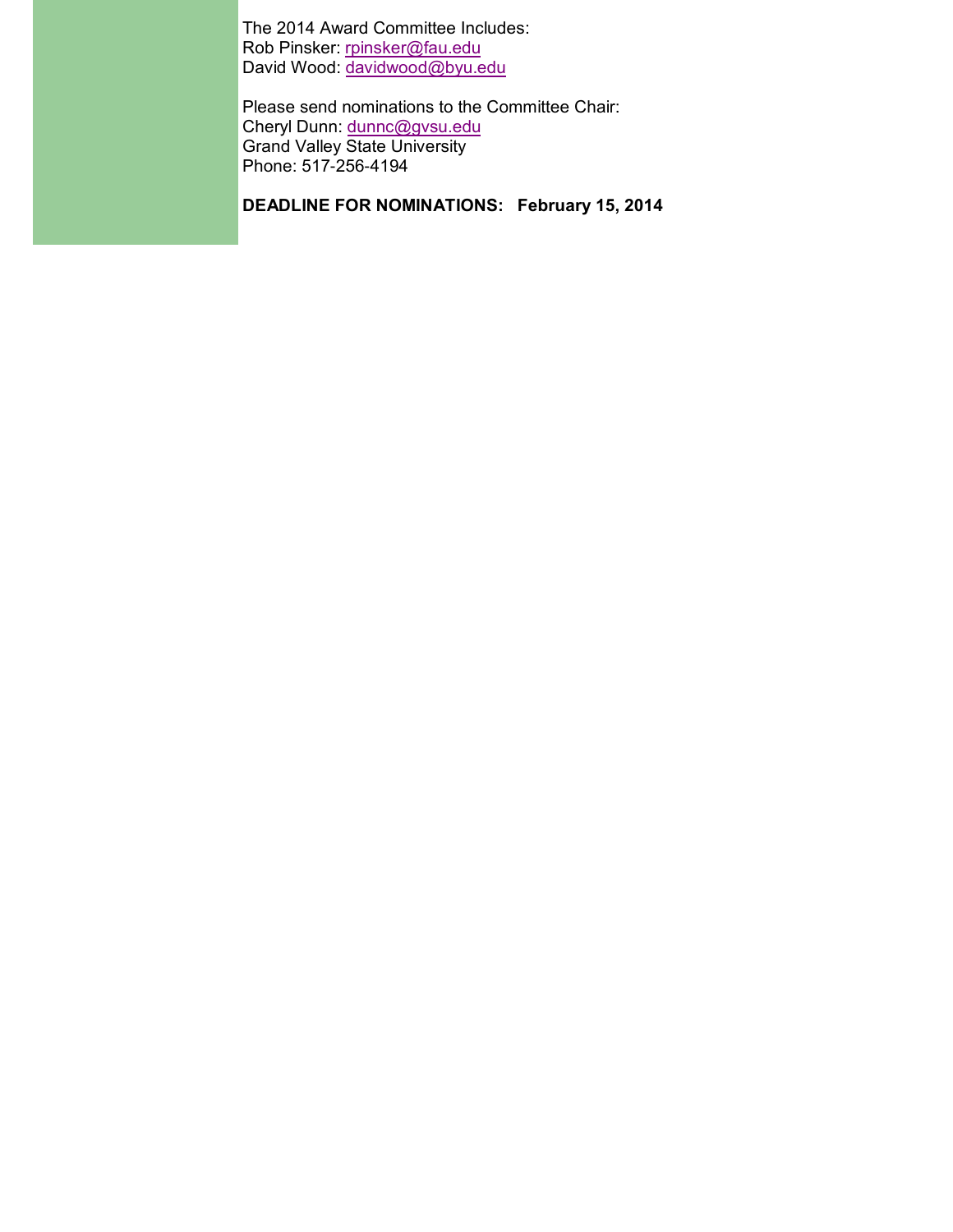The 2014 Award Committee Includes: Rob Pinsker: [rpinsker@fau.edu](mailto:rpinsker@fau.edu) David Wood: <u>davidwood@byu.edu</u>

Please send nominations to the Committee Chair: Cheryl Dunn: [dunnc@gvsu.edu](mailto:dunnc@gvsu.edu) Grand Valley State University Phone: 517-256-4194

**DEADLINE FOR NOMINATIONS: February 15, 2014**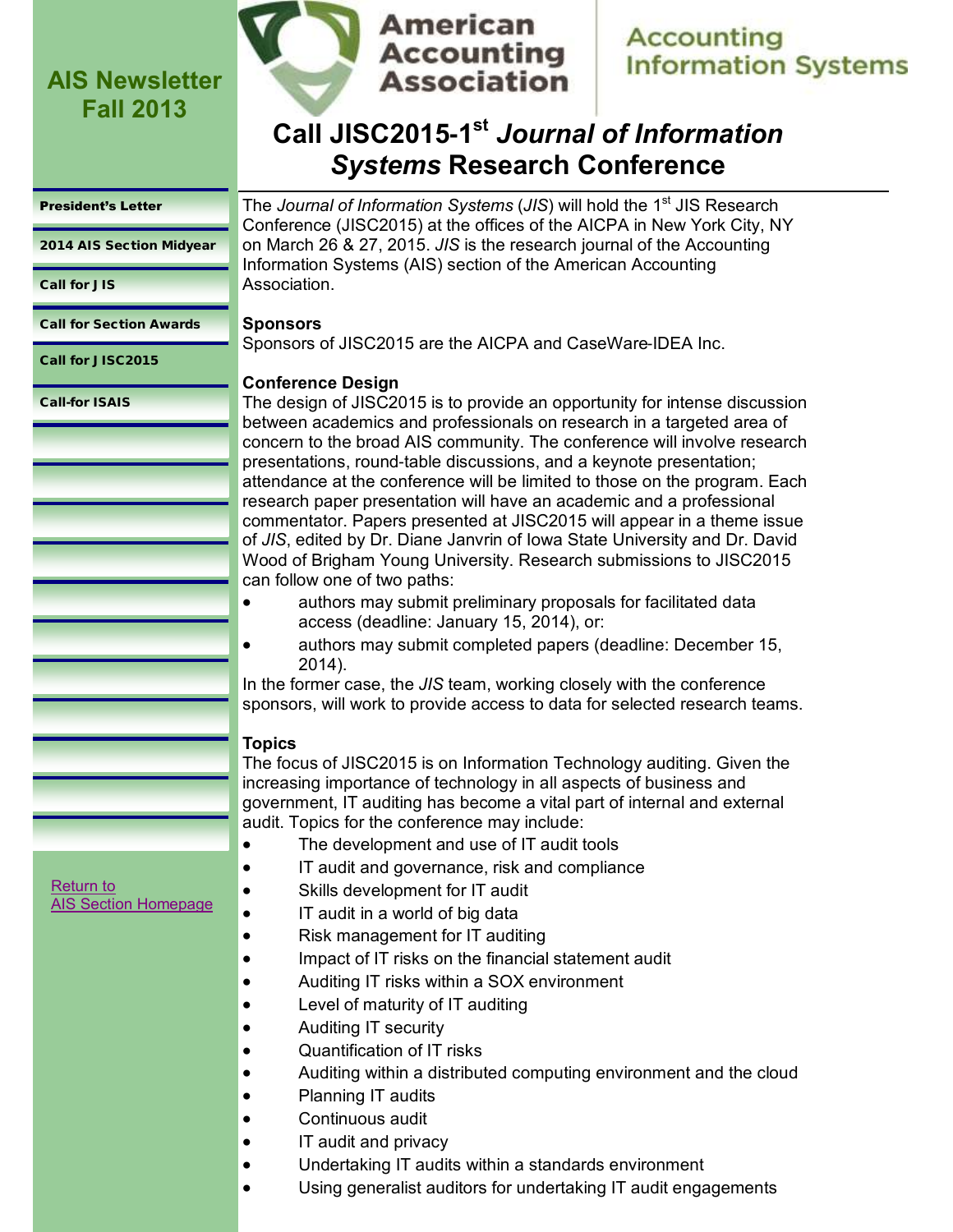

## **Accounting Information Systems**

## **Call JISC2015-1 st** *Journal of Information Systems* **Research Conference**

#### <span id="page-7-0"></span>[President's Letter](#page-0-0)

[2014 AIS Section Midyear](#page-1-0)

[Call for JIS](#page-4-0)

[Call for Section Awards](#page-5-0)

Call for JISC2015

[Call-for ISAIS](#page-9-0)

The *Journal of Information Systems* (JIS) will hold the 1<sup>st</sup> JIS Research Conference (JISC2015) at the offices of the AICPA in New York City, NY on March 26 & 27, 2015. *JIS* is the research journal of the Accounting Information Systems (AIS) section of the American Accounting Association.

### **Sponsors**

Sponsors of JISC2015 are the AICPA and CaseWare-IDEA Inc.

### **Conference Design**

The design of JISC2015 is to provide an opportunity for intense discussion between academics and professionals on research in a targeted area of concern to the broad AIS community. The conference will involve research presentations, round-table discussions, and a keynote presentation; attendance at the conference will be limited to those on the program. Each research paper presentation will have an academic and a professional commentator. Papers presented at JISC2015 will appear in a theme issue of *JIS*, edited by Dr. Diane Janvrin of Iowa State University and Dr. David Wood of Brigham Young University. Research submissions to JISC2015 can follow one of two paths:

- authors may submit preliminary proposals for facilitated data access (deadline: January 15, 2014), or:
- authors may submit completed papers (deadline: December 15, 2014).

In the former case, the *JIS* team, working closely with the conference sponsors, will work to provide access to data for selected research teams.

### **Topics**

The focus of JISC2015 is on Information Technology auditing. Given the increasing importance of technology in all aspects of business and government, IT auditing has become a vital part of internal and external audit. Topics for the conference may include:

- The development and use of IT audit tools
- IT audit and governance, risk and compliance
	- Skills development for IT audit
- IT audit in a world of big data
- Risk management for IT auditing
- **IMPACT 6 INDITY:** Impact of IT risks on the financial statement audit
- Auditing IT risks within a SOX environment
- Level of maturity of IT auditing
- Auditing IT security
- Quantification of IT risks
- Auditing within a distributed computing environment and the cloud
- Planning IT audits
- Continuous audit
- IT audit and privacy
- Undertaking IT audits within a standards environment
- Using generalist auditors for undertaking IT audit engagements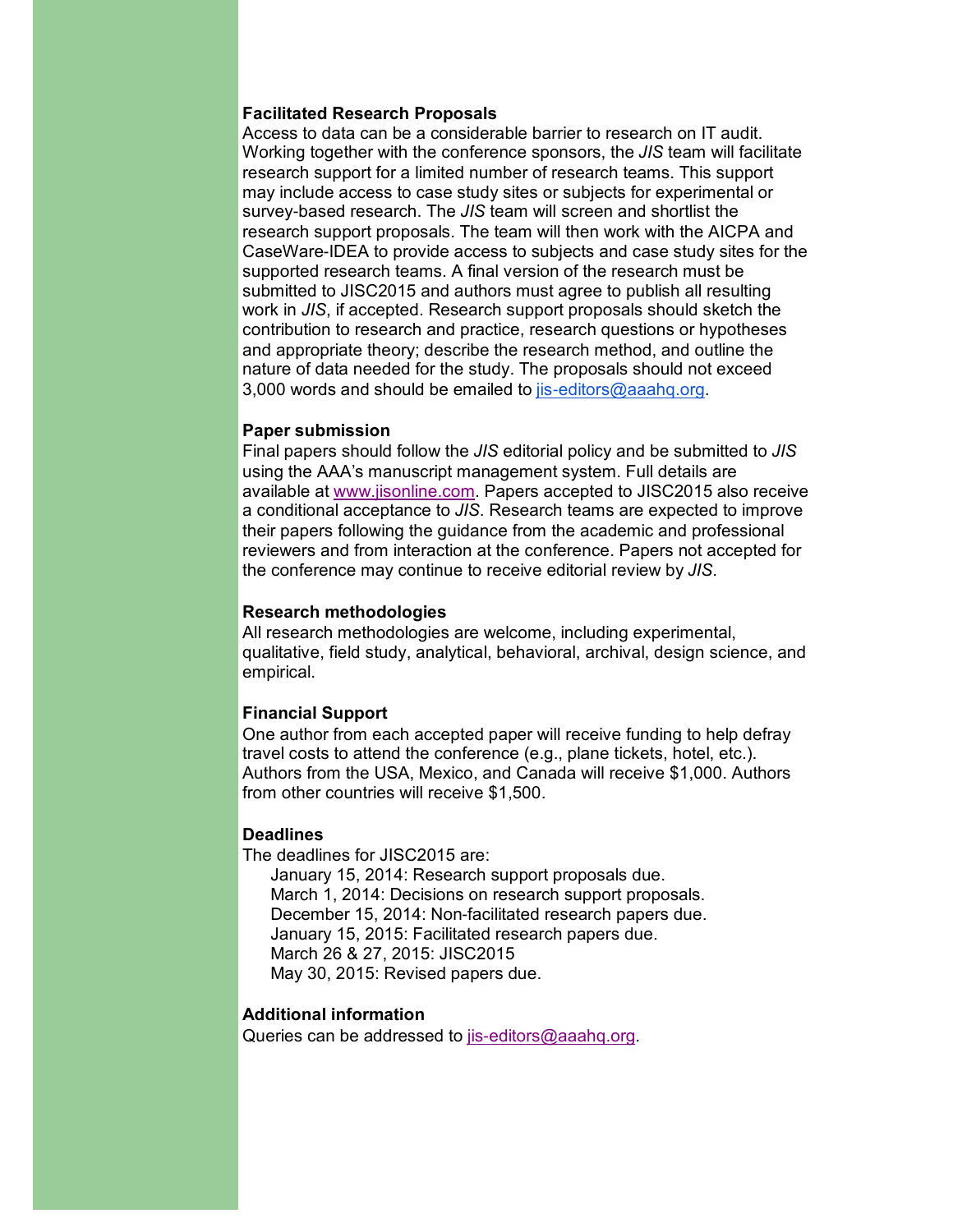### **Facilitated Research Proposals**

Access to data can be a considerable barrier to research on IT audit. Working together with the conference sponsors, the *JIS* team will facilitate research support for a limited number of research teams. This support may include access to case study sites or subjects for experimental or survey-based research. The *JIS* team will screen and shortlist the research support proposals. The team will then work with the AICPA and CaseWare-IDEA to provide access to subjects and case study sites for the supported research teams. A final version of the research must be submitted to JISC2015 and authors must agree to publish all resulting work in *JIS*, if accepted. Research support proposals should sketch the contribution to research and practice, research questions or hypotheses and appropriate theory; describe the research method, and outline the nature of data needed for the study. The proposals should not exceed 3,000 words and should be emailed to [jis-editors@aaahq.org.](mailto:jis-editors@aaahq.org)

#### **Paper submission**

Final papers should follow the *JIS* editorial policy and be submitted to *JIS* using the AAA's manuscript management system. Full details are available at [www.jisonline.com.](http://www.jisonline.com) Papers accepted to JISC2015 also receive a conditional acceptance to *JIS*. Research teams are expected to improve their papers following the guidance from the academic and professional reviewers and from interaction at the conference. Papers not accepted for the conference may continue to receive editorial review by *JIS*.

### **Research methodologies**

All research methodologies are welcome, including experimental, qualitative, field study, analytical, behavioral, archival, design science, and empirical.

### **Financial Support**

One author from each accepted paper will receive funding to help defray travel costs to attend the conference (e.g., plane tickets, hotel, etc.). Authors from the USA, Mexico, and Canada will receive \$1,000. Authors from other countries will receive \$1,500.

#### **Deadlines**

The deadlines for JISC2015 are:

January 15, 2014: Research support proposals due. March 1, 2014: Decisions on research support proposals. December 15, 2014: Non-facilitated research papers due. January 15, 2015: Facilitated research papers due. March 26 & 27, 2015: JISC2015 May 30, 2015: Revised papers due.

#### **Additional information**

Queries can be addressed to [jis-editors@aaahq.org.](mailto:jis-editors@aaahq.org)